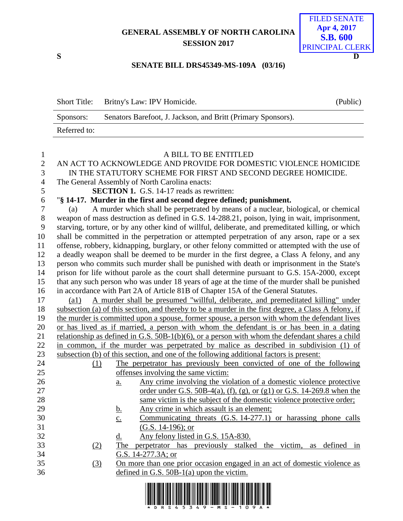## **GENERAL ASSEMBLY OF NORTH CAROLINA SESSION 2017**



## **SENATE BILL DRS45349-MS-109A (03/16)**

| <b>Short Title:</b> | Britny's Law: IPV Homicide.                                  | (Public) |
|---------------------|--------------------------------------------------------------|----------|
| Sponsors:           | Senators Barefoot, J. Jackson, and Britt (Primary Sponsors). |          |
| Referred to:        |                                                              |          |

| $\mathbf{1}$                                                                                                       |                                                                                                | A BILL TO BE ENTITLED                                                                                |  |  |  |  |
|--------------------------------------------------------------------------------------------------------------------|------------------------------------------------------------------------------------------------|------------------------------------------------------------------------------------------------------|--|--|--|--|
| $\mathbf{2}$                                                                                                       | AN ACT TO ACKNOWLEDGE AND PROVIDE FOR DOMESTIC VIOLENCE HOMICIDE                               |                                                                                                      |  |  |  |  |
| 3                                                                                                                  | IN THE STATUTORY SCHEME FOR FIRST AND SECOND DEGREE HOMICIDE.                                  |                                                                                                      |  |  |  |  |
| $\overline{4}$                                                                                                     |                                                                                                | The General Assembly of North Carolina enacts:                                                       |  |  |  |  |
| 5                                                                                                                  |                                                                                                | <b>SECTION 1.</b> G.S. 14-17 reads as rewritten:                                                     |  |  |  |  |
| 6                                                                                                                  |                                                                                                | "§ 14-17. Murder in the first and second degree defined; punishment.                                 |  |  |  |  |
| $\overline{7}$                                                                                                     | (a)                                                                                            | A murder which shall be perpetrated by means of a nuclear, biological, or chemical                   |  |  |  |  |
| $8\,$                                                                                                              |                                                                                                | weapon of mass destruction as defined in G.S. 14-288.21, poison, lying in wait, imprisonment,        |  |  |  |  |
| 9                                                                                                                  |                                                                                                | starving, torture, or by any other kind of willful, deliberate, and premeditated killing, or which   |  |  |  |  |
| 10                                                                                                                 | shall be committed in the perpetration or attempted perpetration of any arson, rape or a sex   |                                                                                                      |  |  |  |  |
| 11                                                                                                                 | offense, robbery, kidnapping, burglary, or other felony committed or attempted with the use of |                                                                                                      |  |  |  |  |
| 12                                                                                                                 | a deadly weapon shall be deemed to be murder in the first degree, a Class A felony, and any    |                                                                                                      |  |  |  |  |
| 13                                                                                                                 |                                                                                                | person who commits such murder shall be punished with death or imprisonment in the State's           |  |  |  |  |
| 14                                                                                                                 |                                                                                                | prison for life without parole as the court shall determine pursuant to G.S. 15A-2000, except        |  |  |  |  |
| 15                                                                                                                 |                                                                                                | that any such person who was under 18 years of age at the time of the murder shall be punished       |  |  |  |  |
| 16                                                                                                                 |                                                                                                | in accordance with Part 2A of Article 81B of Chapter 15A of the General Statutes.                    |  |  |  |  |
| 17                                                                                                                 | (a1)                                                                                           | A murder shall be presumed "willful, deliberate, and premeditated killing" under                     |  |  |  |  |
| 18                                                                                                                 |                                                                                                | subsection (a) of this section, and thereby to be a murder in the first degree, a Class A felony, if |  |  |  |  |
| 19                                                                                                                 |                                                                                                | the murder is committed upon a spouse, former spouse, a person with whom the defendant lives         |  |  |  |  |
| 20                                                                                                                 |                                                                                                | or has lived as if married, a person with whom the defendant is or has been in a dating              |  |  |  |  |
| 21                                                                                                                 |                                                                                                | relationship as defined in G.S. $50B-1(b)(6)$ , or a person with whom the defendant shares a child   |  |  |  |  |
| 22                                                                                                                 |                                                                                                | in common, if the murder was perpetrated by malice as described in subdivision (1) of                |  |  |  |  |
| 23                                                                                                                 |                                                                                                | subsection (b) of this section, and one of the following additional factors is present:              |  |  |  |  |
| 24                                                                                                                 | (1)                                                                                            | The perpetrator has previously been convicted of one of the following                                |  |  |  |  |
| 25                                                                                                                 |                                                                                                | offenses involving the same victim:                                                                  |  |  |  |  |
| 26                                                                                                                 |                                                                                                | Any crime involving the violation of a domestic violence protective<br>a.                            |  |  |  |  |
| 27                                                                                                                 |                                                                                                | order under G.S. 50B-4(a), (f), (g), or (g1) or G.S. 14-269.8 when the                               |  |  |  |  |
| 28                                                                                                                 |                                                                                                | same victim is the subject of the domestic violence protective order;                                |  |  |  |  |
| 29                                                                                                                 |                                                                                                | Any crime in which assault is an element;<br><u>b.</u>                                               |  |  |  |  |
| 30                                                                                                                 |                                                                                                | Communicating threats (G.S. 14-277.1) or harassing phone calls<br>$\underline{c}$ .                  |  |  |  |  |
| 31                                                                                                                 |                                                                                                | $(G.S. 14-196)$ ; or                                                                                 |  |  |  |  |
| 32                                                                                                                 |                                                                                                | Any felony listed in G.S. 15A-830.<br>d.                                                             |  |  |  |  |
| 33                                                                                                                 | (2)                                                                                            | The perpetrator has previously stalked the victim, as defined in                                     |  |  |  |  |
| 34                                                                                                                 |                                                                                                | G.S. 14-277.3A; or                                                                                   |  |  |  |  |
| 35                                                                                                                 | (3)                                                                                            | On more than one prior occasion engaged in an act of domestic violence as                            |  |  |  |  |
| 36                                                                                                                 |                                                                                                | defined in G.S. $50B-1(a)$ upon the victim.                                                          |  |  |  |  |
| <u> I IODINO IODINO INDIO IN DIGON DINO ININ DIGIO IONI INDOGRAFI INDIO II IIODOI INDII DONIS IONON IONI IODIN</u> |                                                                                                |                                                                                                      |  |  |  |  |